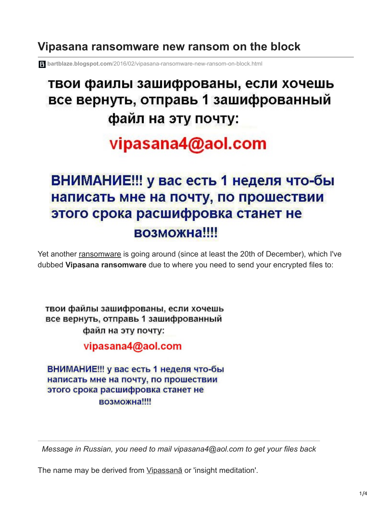### **Vipasana ransomware new ransom on the block**

**bartblaze.blogspot.com**[/2016/02/vipasana-ransomware-new-ransom-on-block.html](https://bartblaze.blogspot.com/2016/02/vipasana-ransomware-new-ransom-on-block.html)

## твои фаилы зашифрованы, если хочешь все вернуть, отправь 1 зашифрованный файл на эту почту:

# vipasana4@aol.com

## ВНИМАНИЕ!!! у вас есть 1 неделя что-бы написать мне на почту, по прошествии этого срока расшифровка станет не возможна!!!!

Yet another [ransomware](http://bartblaze.blogspot.com/2014/04/ransomware-q.html) is going around (since at least the 20th of December), which I've dubbed **Vipasana ransomware** due to where you need to send your encrypted files to:

твои файлы зашифрованы, если хочешь все вернуть, отправь 1 зашифрованный файл на эту почту:

vipasana4@aol.com

ВНИМАНИЕ!!! у вас есть 1 неделя что-бы написать мне на почту, по прошествии этого срока расшифровка станет не возможна!!!!

*Message in Russian, you need to mail vipasana4@aol.com to get your files back*

The name may be derived from Vipassana or 'insight meditation'.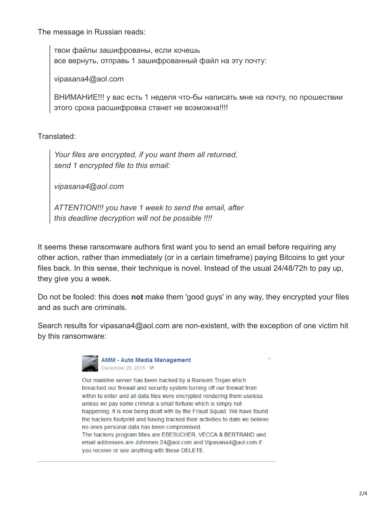The message in Russian reads:

твои файлы зашифрованы, если хочешь все вернуть, отправь 1 зашифрованный файл на эту почту:

vipasana4@aol.com

ВНИМАНИЕ!!! у вас есть 1 неделя что-бы написать мне на почту, по прошествии этого срока расшифровка станет не возможна!!!!

Translated:

*Your files are encrypted, if you want them all returned, send 1 encrypted file to this email:*

*vipasana4@aol.com*

*ATTENTION!!! you have 1 week to send the email, after this deadline decryption will not be possible !!!!*

It seems these ransomware authors first want you to send an email before requiring any other action, rather than immediately (or in a certain timeframe) paying Bitcoins to get your files back. In this sense, their technique is novel. Instead of the usual 24/48/72h to pay up, they give you a week.

Do not be fooled: this does **not** make them 'good guys' in any way, they encrypted your files and as such are criminals.

Search results for vipasana4@aol.com are non-existent, with the exception of one victim hit by this ransomware:



**AMM - Auto Media Management** December 29, 2015 · @

Our mainline server has been hacked by a Ransom Trojan which breached our firewall and security system turning off our firewall from within to enter and all data files were encrypted rendering them useless unless we pay some criminal a small fortune which is simply not happening. It is now being dealt with by the Fraud Squad. We have found the hackers footprint and having tracked their activities to date we believe no ones personal data has been compromised. The hackers program titles are EBESUCHER, VECCA & BERTRAND and email addresses are Johnmen.24@aol.com and Vipasana4@aol.com if you receive or see anything with these DELETE.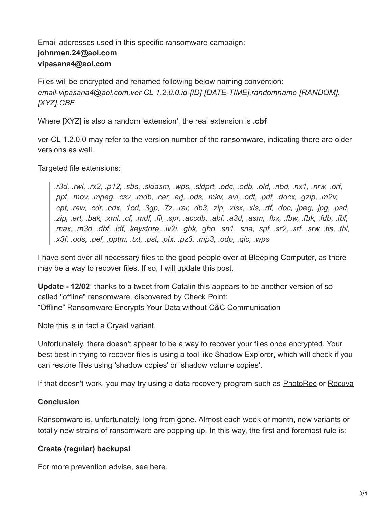#### Email addresses used in this specific ransomware campaign: **johnmen.24@aol.com vipasana4@aol.com**

Files will be encrypted and renamed following below naming convention: *email-vipasana4@aol.com.ver-CL 1.2.0.0.id-[ID]-[DATE-TIME].randomname-[RANDOM]. [XYZ].CBF*

Where [XYZ] is also a random 'extension', the real extension is **.cbf**

ver-CL 1.2.0.0 may refer to the version number of the ransomware, indicating there are older versions as well.

#### Targeted file extensions:

*.r3d, .rwl, .rx2, .p12, .sbs, .sldasm, .wps, .sldprt, .odc, .odb, .old, .nbd, .nx1, .nrw, .orf, .ppt, .mov, .mpeg, .csv, .mdb, .cer, .arj, .ods, .mkv, .avi, .odt, .pdf, .docx, .gzip, .m2v, .cpt, .raw, .cdr, .cdx, .1cd, .3gp, .7z, .rar, .db3, .zip, .xlsx, .xls, .rtf, .doc, .jpeg, .jpg, .psd, .zip, .ert, .bak, .xml, .cf, .mdf, .fil, .spr, .accdb, .abf, .a3d, .asm, .fbx, .fbw, .fbk, .fdb, .fbf, .max, .m3d, .dbf, .ldf, .keystore, .iv2i, .gbk, .gho, .sn1, .sna, .spf, .sr2, .srf, .srw, .tis, .tbl, .x3f, .ods, .pef, .pptm, .txt, .pst, .ptx, .pz3, .mp3, .odp, .qic, .wps*

I have sent over all necessary files to the good people over at [Bleeping Computer](http://www.bleepingcomputer.com/), as there may be a way to recover files. If so, I will update this post.

**Update - 12/02**: thanks to a tweet from [Catalin](https://twitter.com/campuscodi) this appears to be another version of so called "offline" ransomware, discovered by Check Point: ["Offline" Ransomware Encrypts Your Data without C&C Communication](http://blog.checkpoint.com/2015/11/04/offline-ransomware-encrypts-your-data-without-cc-communication/)

Note this is in fact a Cryakl variant.

Unfortunately, there doesn't appear to be a way to recover your files once encrypted. Your best best in trying to recover files is using a tool like [Shadow Explorer,](http://www.shadowexplorer.com/) which will check if you can restore files using 'shadow copies' or 'shadow volume copies'.

If that doesn't work, you may try using a data recovery program such as **[PhotoRec](http://www.cgsecurity.org/wiki/PhotoRec) or [Recuva](https://www.piriform.com/recuva)** 

#### **Conclusion**

Ransomware is, unfortunately, long from gone. Almost each week or month, new variants or totally new strains of ransomware are popping up. In this way, the first and foremost rule is:

#### **Create (regular) backups!**

For more prevention advise, see [here.](http://bartblaze.blogspot.com/2014/04/ransomware-q.html#preventiondisinfection)